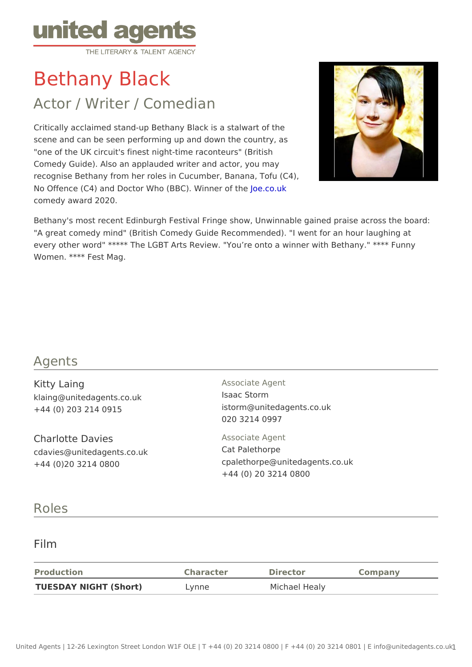# Bethany Black

## Actor / Writer / Comedian

Critically acclaimed stand-up Bethany Black is a stalwart of the scene and can be seen performing up and down the country, as "one of the UK circuit's finest night-time raconteurs" (British Comedy Guide). Also an applauded writer and actor, you may recognise Bethany from her roles in Cucumber, Banana, Tofu (C4), No Offence (C4) and Doctor Who (BBC). O Winner who f the comedy award 2020.

Bethany's most recent Edinburgh Festival Fringe show, Unwinnable gained pr "A great comedy mind" (British Comedy Guide Recommended). "I went for an every other word" \*\*\*\*\* The LGBT Arts Review. "You re onto a winner with Be Women. \*\*\*\* Fest Mag.

#### Agents

| Kitty Laing<br>klaing@unitedagents.co.uk<br>$+44$ (0) 203 214 0915    | Associate Agent<br>Isaac Storm<br>istorm@unitedagents.co.uk<br>020 3214 0997                |
|-----------------------------------------------------------------------|---------------------------------------------------------------------------------------------|
| Charlotte Davies<br>cdavies@unitedagents.co.uk<br>+44 (0)20 3214 0800 | Associate Agent<br>Cat Palethorpe<br>cpalethorpe@unitedagents.co.uk<br>+44 (0) 20 3214 0800 |

#### Roles

#### Film

| Production                  | Character | Director      | Company |
|-----------------------------|-----------|---------------|---------|
| TUESDAY NIGHT (Short) Lynne |           | Michael Healy |         |